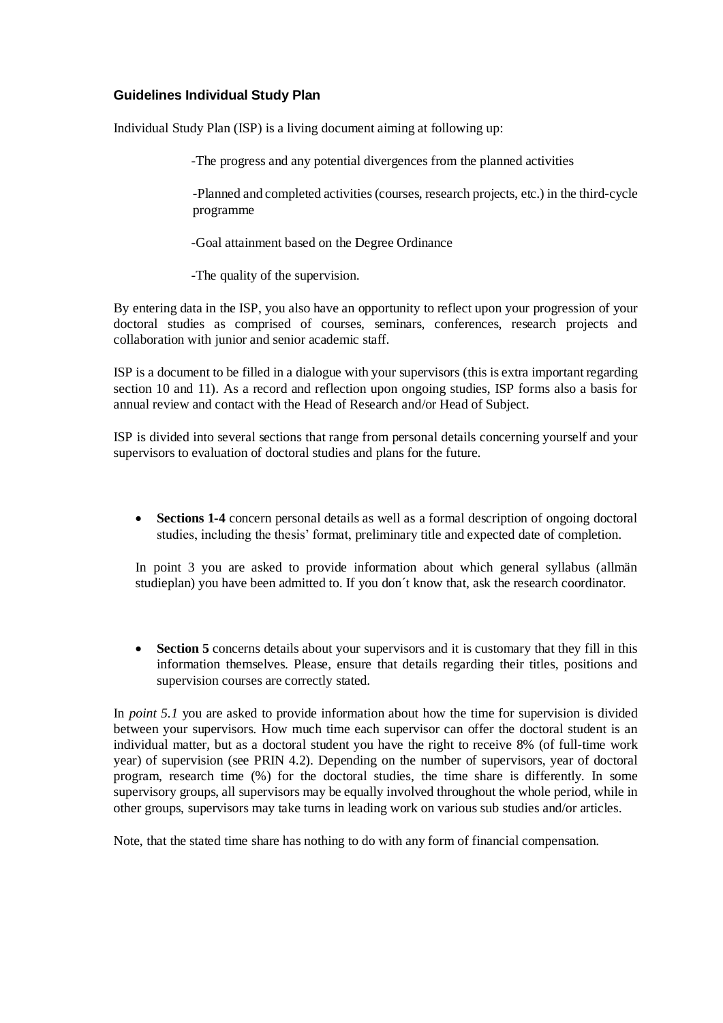## **Guidelines Individual Study Plan**

Individual Study Plan (ISP) is a living document aiming at following up:

-The progress and any potential divergences from the planned activities

-Planned and completed activities (courses, research projects, etc.) in the third-cycle programme

-Goal attainment based on the Degree Ordinance

-The quality of the supervision.

By entering data in the ISP, you also have an opportunity to reflect upon your progression of your doctoral studies as comprised of courses, seminars, conferences, research projects and collaboration with junior and senior academic staff.

ISP is a document to be filled in a dialogue with your supervisors (this is extra important regarding section 10 and 11). As a record and reflection upon ongoing studies, ISP forms also a basis for annual review and contact with the Head of Research and/or Head of Subject.

ISP is divided into several sections that range from personal details concerning yourself and your supervisors to evaluation of doctoral studies and plans for the future.

• **Sections 1-4** concern personal details as well as a formal description of ongoing doctoral studies, including the thesis' format, preliminary title and expected date of completion.

In point 3 you are asked to provide information about which general syllabus (allmän studieplan) you have been admitted to. If you don´t know that, ask the research coordinator.

• **Section 5** concerns details about your supervisors and it is customary that they fill in this information themselves. Please, ensure that details regarding their titles, positions and supervision courses are correctly stated.

In *point 5.1* you are asked to provide information about how the time for supervision is divided between your supervisors. How much time each supervisor can offer the doctoral student is an individual matter, but as a doctoral student you have the right to receive 8% (of full-time work year) of supervision (see PRIN 4.2). Depending on the number of supervisors, year of doctoral program, research time (%) for the doctoral studies, the time share is differently. In some supervisory groups, all supervisors may be equally involved throughout the whole period, while in other groups, supervisors may take turns in leading work on various sub studies and/or articles.

Note, that the stated time share has nothing to do with any form of financial compensation.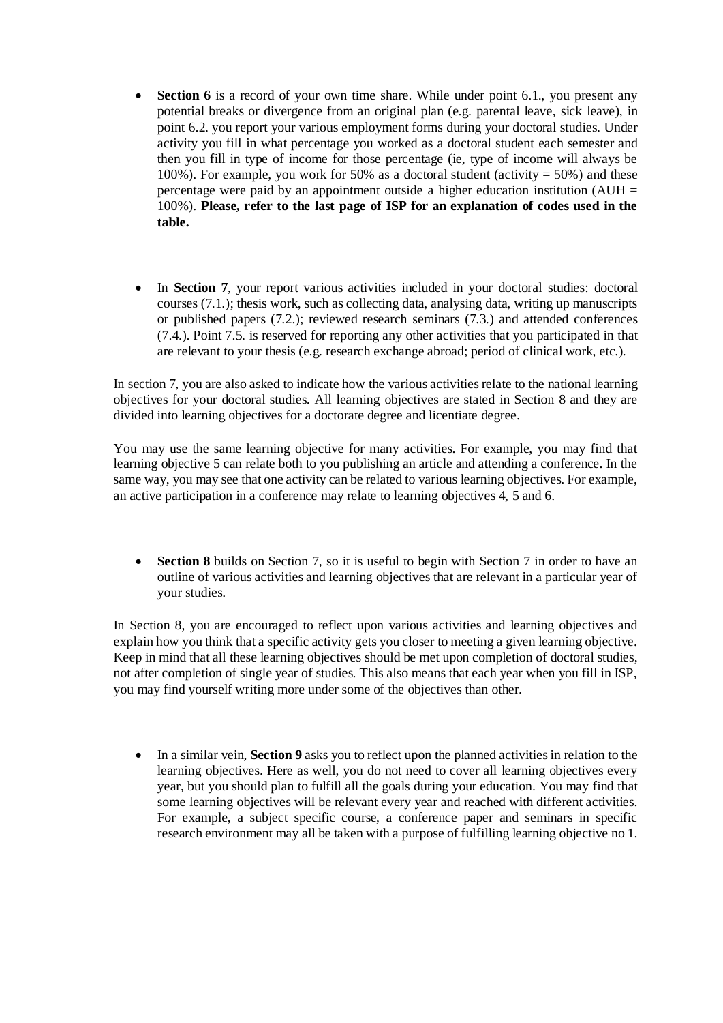- **Section 6** is a record of your own time share. While under point 6.1, you present any potential breaks or divergence from an original plan (e.g. parental leave, sick leave), in point 6.2. you report your various employment forms during your doctoral studies. Under activity you fill in what percentage you worked as a doctoral student each semester and then you fill in type of income for those percentage (ie, type of income will always be 100%). For example, you work for 50% as a doctoral student (activity  $= 50\%$ ) and these percentage were paid by an appointment outside a higher education institution (AUH  $=$ 100%). **Please, refer to the last page of ISP for an explanation of codes used in the table.**
- In **Section 7**, your report various activities included in your doctoral studies: doctoral courses (7.1.); thesis work, such as collecting data, analysing data, writing up manuscripts or published papers (7.2.); reviewed research seminars (7.3.) and attended conferences (7.4.). Point 7.5. is reserved for reporting any other activities that you participated in that are relevant to your thesis (e.g. research exchange abroad; period of clinical work, etc.).

In section 7, you are also asked to indicate how the various activities relate to the national learning objectives for your doctoral studies. All learning objectives are stated in Section 8 and they are divided into learning objectives for a doctorate degree and licentiate degree.

You may use the same learning objective for many activities. For example, you may find that learning objective 5 can relate both to you publishing an article and attending a conference. In the same way, you may see that one activity can be related to various learning objectives. For example, an active participation in a conference may relate to learning objectives 4, 5 and 6.

• **Section 8** builds on Section 7, so it is useful to begin with Section 7 in order to have an outline of various activities and learning objectives that are relevant in a particular year of your studies.

In Section 8, you are encouraged to reflect upon various activities and learning objectives and explain how you think that a specific activity gets you closer to meeting a given learning objective. Keep in mind that all these learning objectives should be met upon completion of doctoral studies, not after completion of single year of studies. This also means that each year when you fill in ISP, you may find yourself writing more under some of the objectives than other.

• In a similar vein, **Section 9** asks you to reflect upon the planned activities in relation to the learning objectives. Here as well, you do not need to cover all learning objectives every year, but you should plan to fulfill all the goals during your education. You may find that some learning objectives will be relevant every year and reached with different activities. For example, a subject specific course, a conference paper and seminars in specific research environment may all be taken with a purpose of fulfilling learning objective no 1.